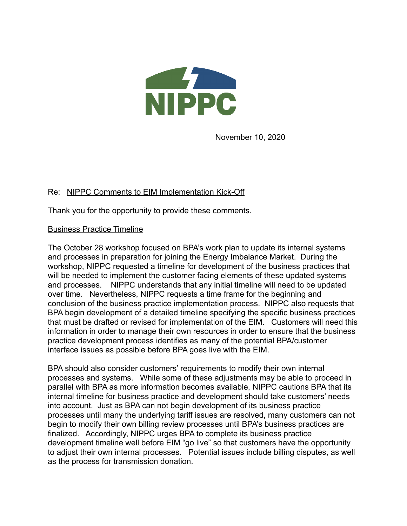

November 10, 2020

## Re: NIPPC Comments to EIM Implementation Kick-Off

Thank you for the opportunity to provide these comments.

## Business Practice Timeline

The October 28 workshop focused on BPA's work plan to update its internal systems and processes in preparation for joining the Energy Imbalance Market. During the workshop, NIPPC requested a timeline for development of the business practices that will be needed to implement the customer facing elements of these updated systems and processes. NIPPC understands that any initial timeline will need to be updated over time. Nevertheless, NIPPC requests a time frame for the beginning and conclusion of the business practice implementation process. NIPPC also requests that BPA begin development of a detailed timeline specifying the specific business practices that must be drafted or revised for implementation of the EIM. Customers will need this information in order to manage their own resources in order to ensure that the business practice development process identifies as many of the potential BPA/customer interface issues as possible before BPA goes live with the EIM.

BPA should also consider customers' requirements to modify their own internal processes and systems. While some of these adjustments may be able to proceed in parallel with BPA as more information becomes available, NIPPC cautions BPA that its internal timeline for business practice and development should take customers' needs into account. Just as BPA can not begin development of its business practice processes until many the underlying tariff issues are resolved, many customers can not begin to modify their own billing review processes until BPA's business practices are finalized. Accordingly, NIPPC urges BPA to complete its business practice development timeline well before EIM "go live" so that customers have the opportunity to adjust their own internal processes. Potential issues include billing disputes, as well as the process for transmission donation.